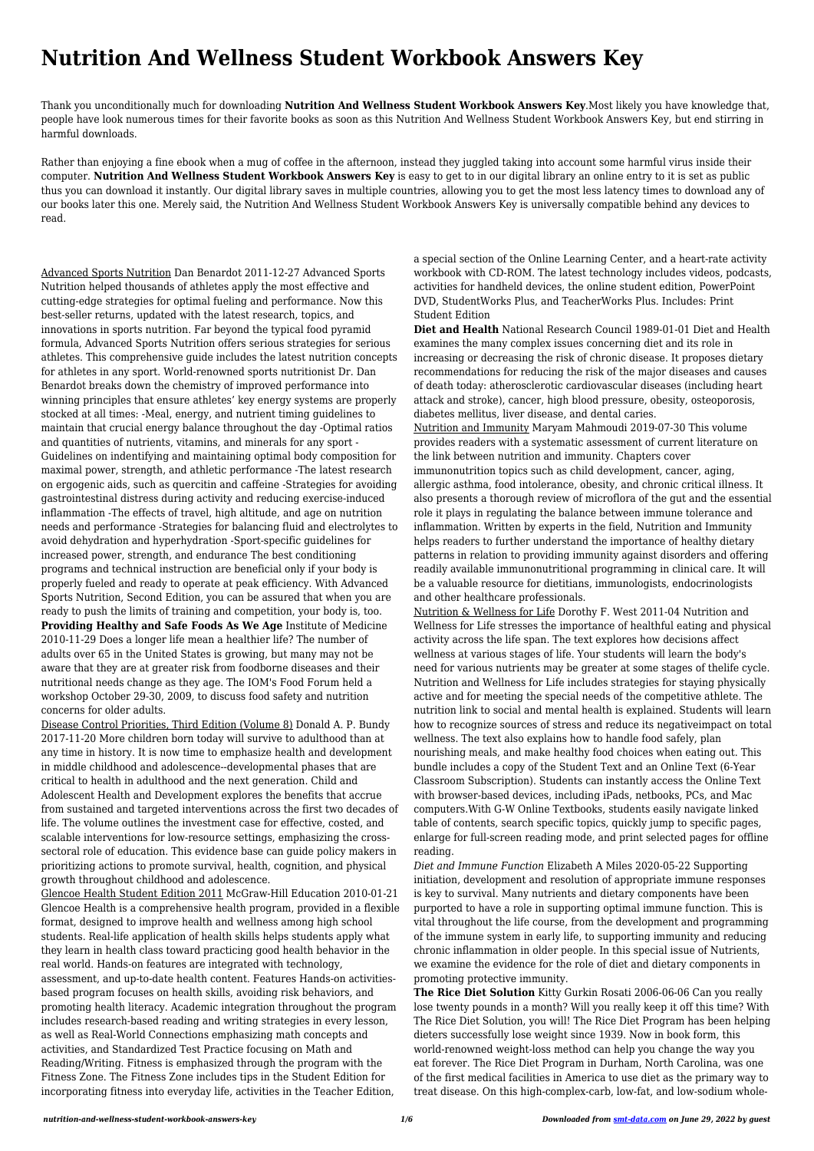## **Nutrition And Wellness Student Workbook Answers Key**

Thank you unconditionally much for downloading **Nutrition And Wellness Student Workbook Answers Key**.Most likely you have knowledge that, people have look numerous times for their favorite books as soon as this Nutrition And Wellness Student Workbook Answers Key, but end stirring in harmful downloads.

Rather than enjoying a fine ebook when a mug of coffee in the afternoon, instead they juggled taking into account some harmful virus inside their computer. **Nutrition And Wellness Student Workbook Answers Key** is easy to get to in our digital library an online entry to it is set as public thus you can download it instantly. Our digital library saves in multiple countries, allowing you to get the most less latency times to download any of our books later this one. Merely said, the Nutrition And Wellness Student Workbook Answers Key is universally compatible behind any devices to read.

Advanced Sports Nutrition Dan Benardot 2011-12-27 Advanced Sports Nutrition helped thousands of athletes apply the most effective and cutting-edge strategies for optimal fueling and performance. Now this best-seller returns, updated with the latest research, topics, and innovations in sports nutrition. Far beyond the typical food pyramid formula, Advanced Sports Nutrition offers serious strategies for serious athletes. This comprehensive guide includes the latest nutrition concepts for athletes in any sport. World-renowned sports nutritionist Dr. Dan Benardot breaks down the chemistry of improved performance into winning principles that ensure athletes' key energy systems are properly stocked at all times: -Meal, energy, and nutrient timing guidelines to maintain that crucial energy balance throughout the day -Optimal ratios and quantities of nutrients, vitamins, and minerals for any sport - Guidelines on indentifying and maintaining optimal body composition for maximal power, strength, and athletic performance -The latest research on ergogenic aids, such as quercitin and caffeine -Strategies for avoiding gastrointestinal distress during activity and reducing exercise-induced inflammation -The effects of travel, high altitude, and age on nutrition needs and performance -Strategies for balancing fluid and electrolytes to avoid dehydration and hyperhydration -Sport-specific guidelines for increased power, strength, and endurance The best conditioning programs and technical instruction are beneficial only if your body is properly fueled and ready to operate at peak efficiency. With Advanced Sports Nutrition, Second Edition, you can be assured that when you are ready to push the limits of training and competition, your body is, too. **Providing Healthy and Safe Foods As We Age** Institute of Medicine 2010-11-29 Does a longer life mean a healthier life? The number of adults over 65 in the United States is growing, but many may not be aware that they are at greater risk from foodborne diseases and their nutritional needs change as they age. The IOM's Food Forum held a workshop October 29-30, 2009, to discuss food safety and nutrition concerns for older adults.

Disease Control Priorities, Third Edition (Volume 8) Donald A. P. Bundy 2017-11-20 More children born today will survive to adulthood than at any time in history. It is now time to emphasize health and development in middle childhood and adolescence--developmental phases that are critical to health in adulthood and the next generation. Child and Adolescent Health and Development explores the benefits that accrue from sustained and targeted interventions across the first two decades of life. The volume outlines the investment case for effective, costed, and scalable interventions for low-resource settings, emphasizing the crosssectoral role of education. This evidence base can guide policy makers in prioritizing actions to promote survival, health, cognition, and physical growth throughout childhood and adolescence. Glencoe Health Student Edition 2011 McGraw-Hill Education 2010-01-21 Glencoe Health is a comprehensive health program, provided in a flexible format, designed to improve health and wellness among high school students. Real-life application of health skills helps students apply what they learn in health class toward practicing good health behavior in the real world. Hands-on features are integrated with technology, assessment, and up-to-date health content. Features Hands-on activitiesbased program focuses on health skills, avoiding risk behaviors, and promoting health literacy. Academic integration throughout the program includes research-based reading and writing strategies in every lesson, as well as Real-World Connections emphasizing math concepts and activities, and Standardized Test Practice focusing on Math and Reading/Writing. Fitness is emphasized through the program with the Fitness Zone. The Fitness Zone includes tips in the Student Edition for incorporating fitness into everyday life, activities in the Teacher Edition,

a special section of the Online Learning Center, and a heart-rate activity workbook with CD-ROM. The latest technology includes videos, podcasts, activities for handheld devices, the online student edition, PowerPoint DVD, StudentWorks Plus, and TeacherWorks Plus. Includes: Print Student Edition

**Diet and Health** National Research Council 1989-01-01 Diet and Health examines the many complex issues concerning diet and its role in increasing or decreasing the risk of chronic disease. It proposes dietary recommendations for reducing the risk of the major diseases and causes of death today: atherosclerotic cardiovascular diseases (including heart attack and stroke), cancer, high blood pressure, obesity, osteoporosis, diabetes mellitus, liver disease, and dental caries. Nutrition and Immunity Maryam Mahmoudi 2019-07-30 This volume provides readers with a systematic assessment of current literature on the link between nutrition and immunity. Chapters cover immunonutrition topics such as child development, cancer, aging, allergic asthma, food intolerance, obesity, and chronic critical illness. It also presents a thorough review of microflora of the gut and the essential role it plays in regulating the balance between immune tolerance and inflammation. Written by experts in the field, Nutrition and Immunity helps readers to further understand the importance of healthy dietary patterns in relation to providing immunity against disorders and offering readily available immunonutritional programming in clinical care. It will be a valuable resource for dietitians, immunologists, endocrinologists and other healthcare professionals.

Nutrition & Wellness for Life Dorothy F. West 2011-04 Nutrition and Wellness for Life stresses the importance of healthful eating and physical activity across the life span. The text explores how decisions affect wellness at various stages of life. Your students will learn the body's need for various nutrients may be greater at some stages of thelife cycle. Nutrition and Wellness for Life includes strategies for staying physically active and for meeting the special needs of the competitive athlete. The nutrition link to social and mental health is explained. Students will learn how to recognize sources of stress and reduce its negativeimpact on total wellness. The text also explains how to handle food safely, plan nourishing meals, and make healthy food choices when eating out. This bundle includes a copy of the Student Text and an Online Text (6-Year Classroom Subscription). Students can instantly access the Online Text with browser-based devices, including iPads, netbooks, PCs, and Mac computers.With G-W Online Textbooks, students easily navigate linked table of contents, search specific topics, quickly jump to specific pages, enlarge for full-screen reading mode, and print selected pages for offline reading.

*Diet and Immune Function* Elizabeth A Miles 2020-05-22 Supporting

initiation, development and resolution of appropriate immune responses is key to survival. Many nutrients and dietary components have been purported to have a role in supporting optimal immune function. This is vital throughout the life course, from the development and programming of the immune system in early life, to supporting immunity and reducing chronic inflammation in older people. In this special issue of Nutrients, we examine the evidence for the role of diet and dietary components in promoting protective immunity.

**The Rice Diet Solution** Kitty Gurkin Rosati 2006-06-06 Can you really lose twenty pounds in a month? Will you really keep it off this time? With The Rice Diet Solution, you will! The Rice Diet Program has been helping dieters successfully lose weight since 1939. Now in book form, this world-renowned weight-loss method can help you change the way you eat forever. The Rice Diet Program in Durham, North Carolina, was one of the first medical facilities in America to use diet as the primary way to treat disease. On this high-complex-carb, low-fat, and low-sodium whole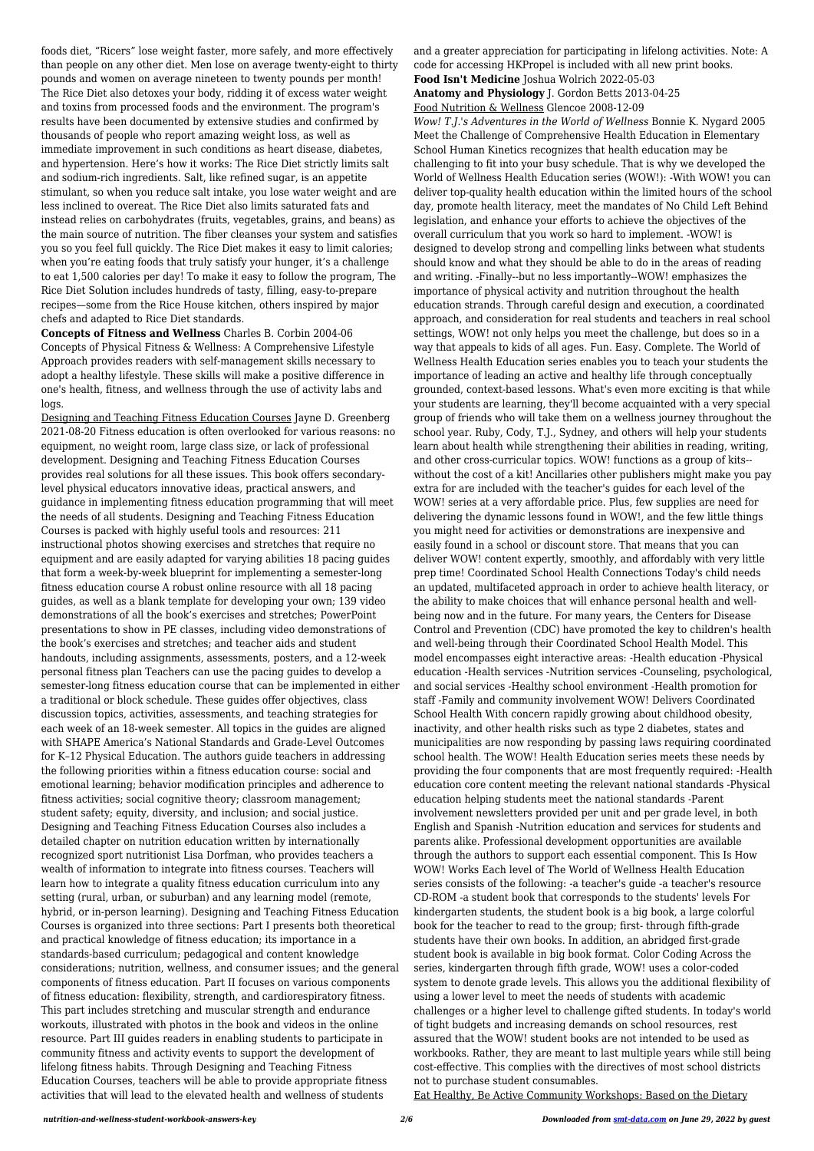foods diet, "Ricers" lose weight faster, more safely, and more effectively than people on any other diet. Men lose on average twenty-eight to thirty pounds and women on average nineteen to twenty pounds per month! The Rice Diet also detoxes your body, ridding it of excess water weight and toxins from processed foods and the environment. The program's results have been documented by extensive studies and confirmed by thousands of people who report amazing weight loss, as well as immediate improvement in such conditions as heart disease, diabetes, and hypertension. Here's how it works: The Rice Diet strictly limits salt and sodium-rich ingredients. Salt, like refined sugar, is an appetite stimulant, so when you reduce salt intake, you lose water weight and are less inclined to overeat. The Rice Diet also limits saturated fats and instead relies on carbohydrates (fruits, vegetables, grains, and beans) as the main source of nutrition. The fiber cleanses your system and satisfies you so you feel full quickly. The Rice Diet makes it easy to limit calories; when you're eating foods that truly satisfy your hunger, it's a challenge to eat 1,500 calories per day! To make it easy to follow the program, The Rice Diet Solution includes hundreds of tasty, filling, easy-to-prepare recipes—some from the Rice House kitchen, others inspired by major chefs and adapted to Rice Diet standards.

**Concepts of Fitness and Wellness** Charles B. Corbin 2004-06 Concepts of Physical Fitness & Wellness: A Comprehensive Lifestyle Approach provides readers with self-management skills necessary to adopt a healthy lifestyle. These skills will make a positive difference in one's health, fitness, and wellness through the use of activity labs and logs.

Designing and Teaching Fitness Education Courses Jayne D. Greenberg 2021-08-20 Fitness education is often overlooked for various reasons: no equipment, no weight room, large class size, or lack of professional development. Designing and Teaching Fitness Education Courses provides real solutions for all these issues. This book offers secondarylevel physical educators innovative ideas, practical answers, and guidance in implementing fitness education programming that will meet the needs of all students. Designing and Teaching Fitness Education Courses is packed with highly useful tools and resources: 211 instructional photos showing exercises and stretches that require no equipment and are easily adapted for varying abilities 18 pacing guides that form a week-by-week blueprint for implementing a semester-long fitness education course A robust online resource with all 18 pacing guides, as well as a blank template for developing your own; 139 video demonstrations of all the book's exercises and stretches; PowerPoint presentations to show in PE classes, including video demonstrations of the book's exercises and stretches; and teacher aids and student handouts, including assignments, assessments, posters, and a 12-week personal fitness plan Teachers can use the pacing guides to develop a semester-long fitness education course that can be implemented in either a traditional or block schedule. These guides offer objectives, class discussion topics, activities, assessments, and teaching strategies for each week of an 18-week semester. All topics in the guides are aligned with SHAPE America's National Standards and Grade-Level Outcomes for K–12 Physical Education. The authors guide teachers in addressing the following priorities within a fitness education course: social and emotional learning; behavior modification principles and adherence to fitness activities; social cognitive theory; classroom management; student safety; equity, diversity, and inclusion; and social justice. Designing and Teaching Fitness Education Courses also includes a detailed chapter on nutrition education written by internationally recognized sport nutritionist Lisa Dorfman, who provides teachers a wealth of information to integrate into fitness courses. Teachers will learn how to integrate a quality fitness education curriculum into any setting (rural, urban, or suburban) and any learning model (remote, hybrid, or in-person learning). Designing and Teaching Fitness Education Courses is organized into three sections: Part I presents both theoretical and practical knowledge of fitness education; its importance in a standards-based curriculum; pedagogical and content knowledge considerations; nutrition, wellness, and consumer issues; and the general components of fitness education. Part II focuses on various components of fitness education: flexibility, strength, and cardiorespiratory fitness. This part includes stretching and muscular strength and endurance workouts, illustrated with photos in the book and videos in the online resource. Part III guides readers in enabling students to participate in community fitness and activity events to support the development of lifelong fitness habits. Through Designing and Teaching Fitness Education Courses, teachers will be able to provide appropriate fitness activities that will lead to the elevated health and wellness of students

and a greater appreciation for participating in lifelong activities. Note: A code for accessing HKPropel is included with all new print books.

**Food Isn't Medicine** Joshua Wolrich 2022-05-03

**Anatomy and Physiology** J. Gordon Betts 2013-04-25 Food Nutrition & Wellness Glencoe 2008-12-09

*Wow! T.J.'s Adventures in the World of Wellness* Bonnie K. Nygard 2005 Meet the Challenge of Comprehensive Health Education in Elementary School Human Kinetics recognizes that health education may be challenging to fit into your busy schedule. That is why we developed the World of Wellness Health Education series (WOW!): -With WOW! you can deliver top-quality health education within the limited hours of the school day, promote health literacy, meet the mandates of No Child Left Behind legislation, and enhance your efforts to achieve the objectives of the overall curriculum that you work so hard to implement. -WOW! is designed to develop strong and compelling links between what students should know and what they should be able to do in the areas of reading and writing. -Finally--but no less importantly--WOW! emphasizes the importance of physical activity and nutrition throughout the health education strands. Through careful design and execution, a coordinated approach, and consideration for real students and teachers in real school settings, WOW! not only helps you meet the challenge, but does so in a way that appeals to kids of all ages. Fun. Easy. Complete. The World of Wellness Health Education series enables you to teach your students the importance of leading an active and healthy life through conceptually grounded, context-based lessons. What's even more exciting is that while your students are learning, they'll become acquainted with a very special group of friends who will take them on a wellness journey throughout the school year. Ruby, Cody, T.J., Sydney, and others will help your students learn about health while strengthening their abilities in reading, writing, and other cross-curricular topics. WOW! functions as a group of kits- without the cost of a kit! Ancillaries other publishers might make you pay extra for are included with the teacher's guides for each level of the WOW! series at a very affordable price. Plus, few supplies are need for delivering the dynamic lessons found in WOW!, and the few little things you might need for activities or demonstrations are inexpensive and easily found in a school or discount store. That means that you can deliver WOW! content expertly, smoothly, and affordably with very little prep time! Coordinated School Health Connections Today's child needs an updated, multifaceted approach in order to achieve health literacy, or the ability to make choices that will enhance personal health and wellbeing now and in the future. For many years, the Centers for Disease Control and Prevention (CDC) have promoted the key to children's health and well-being through their Coordinated School Health Model. This model encompasses eight interactive areas: -Health education -Physical education -Health services -Nutrition services -Counseling, psychological, and social services -Healthy school environment -Health promotion for staff -Family and community involvement WOW! Delivers Coordinated School Health With concern rapidly growing about childhood obesity, inactivity, and other health risks such as type 2 diabetes, states and municipalities are now responding by passing laws requiring coordinated school health. The WOW! Health Education series meets these needs by providing the four components that are most frequently required: -Health education core content meeting the relevant national standards -Physical education helping students meet the national standards -Parent involvement newsletters provided per unit and per grade level, in both English and Spanish -Nutrition education and services for students and parents alike. Professional development opportunities are available through the authors to support each essential component. This Is How WOW! Works Each level of The World of Wellness Health Education series consists of the following: -a teacher's guide -a teacher's resource CD-ROM -a student book that corresponds to the students' levels For kindergarten students, the student book is a big book, a large colorful book for the teacher to read to the group; first- through fifth-grade students have their own books. In addition, an abridged first-grade student book is available in big book format. Color Coding Across the series, kindergarten through fifth grade, WOW! uses a color-coded system to denote grade levels. This allows you the additional flexibility of using a lower level to meet the needs of students with academic challenges or a higher level to challenge gifted students. In today's world of tight budgets and increasing demands on school resources, rest assured that the WOW! student books are not intended to be used as workbooks. Rather, they are meant to last multiple years while still being cost-effective. This complies with the directives of most school districts not to purchase student consumables. Eat Healthy, Be Active Community Workshops: Based on the Dietary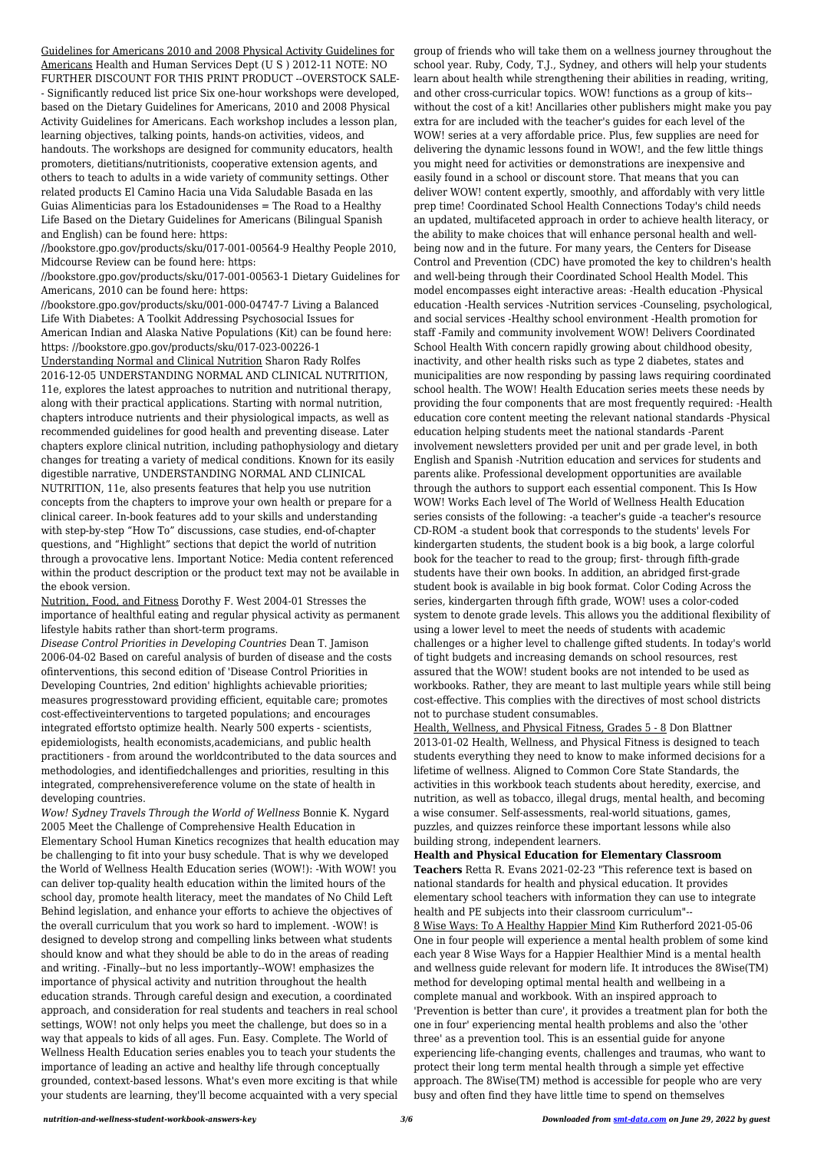Guidelines for Americans 2010 and 2008 Physical Activity Guidelines for Americans Health and Human Services Dept (U S ) 2012-11 NOTE: NO FURTHER DISCOUNT FOR THIS PRINT PRODUCT --OVERSTOCK SALE- - Significantly reduced list price Six one-hour workshops were developed, based on the Dietary Guidelines for Americans, 2010 and 2008 Physical Activity Guidelines for Americans. Each workshop includes a lesson plan, learning objectives, talking points, hands-on activities, videos, and handouts. The workshops are designed for community educators, health promoters, dietitians/nutritionists, cooperative extension agents, and others to teach to adults in a wide variety of community settings. Other related products El Camino Hacia una Vida Saludable Basada en las Guias Alimenticias para los Estadounidenses = The Road to a Healthy Life Based on the Dietary Guidelines for Americans (Bilingual Spanish and English) can be found here: https:

//bookstore.gpo.gov/products/sku/017-001-00564-9 Healthy People 2010, Midcourse Review can be found here: https:

//bookstore.gpo.gov/products/sku/017-001-00563-1 Dietary Guidelines for Americans, 2010 can be found here: https:

//bookstore.gpo.gov/products/sku/001-000-04747-7 Living a Balanced Life With Diabetes: A Toolkit Addressing Psychosocial Issues for American Indian and Alaska Native Populations (Kit) can be found here: https: //bookstore.gpo.gov/products/sku/017-023-00226-1 Understanding Normal and Clinical Nutrition Sharon Rady Rolfes 2016-12-05 UNDERSTANDING NORMAL AND CLINICAL NUTRITION, 11e, explores the latest approaches to nutrition and nutritional therapy, along with their practical applications. Starting with normal nutrition, chapters introduce nutrients and their physiological impacts, as well as recommended guidelines for good health and preventing disease. Later chapters explore clinical nutrition, including pathophysiology and dietary changes for treating a variety of medical conditions. Known for its easily digestible narrative, UNDERSTANDING NORMAL AND CLINICAL NUTRITION, 11e, also presents features that help you use nutrition concepts from the chapters to improve your own health or prepare for a clinical career. In-book features add to your skills and understanding with step-by-step "How To" discussions, case studies, end-of-chapter questions, and "Highlight" sections that depict the world of nutrition through a provocative lens. Important Notice: Media content referenced within the product description or the product text may not be available in the ebook version.

Nutrition, Food, and Fitness Dorothy F. West 2004-01 Stresses the importance of healthful eating and regular physical activity as permanent lifestyle habits rather than short-term programs.

*Disease Control Priorities in Developing Countries* Dean T. Jamison 2006-04-02 Based on careful analysis of burden of disease and the costs ofinterventions, this second edition of 'Disease Control Priorities in Developing Countries, 2nd edition' highlights achievable priorities; measures progresstoward providing efficient, equitable care; promotes cost-effectiveinterventions to targeted populations; and encourages integrated effortsto optimize health. Nearly 500 experts - scientists, epidemiologists, health economists,academicians, and public health practitioners - from around the worldcontributed to the data sources and methodologies, and identifiedchallenges and priorities, resulting in this integrated, comprehensivereference volume on the state of health in developing countries.

*Wow! Sydney Travels Through the World of Wellness* Bonnie K. Nygard 2005 Meet the Challenge of Comprehensive Health Education in Elementary School Human Kinetics recognizes that health education may be challenging to fit into your busy schedule. That is why we developed the World of Wellness Health Education series (WOW!): -With WOW! you can deliver top-quality health education within the limited hours of the school day, promote health literacy, meet the mandates of No Child Left Behind legislation, and enhance your efforts to achieve the objectives of the overall curriculum that you work so hard to implement. -WOW! is designed to develop strong and compelling links between what students should know and what they should be able to do in the areas of reading and writing. -Finally--but no less importantly--WOW! emphasizes the importance of physical activity and nutrition throughout the health education strands. Through careful design and execution, a coordinated approach, and consideration for real students and teachers in real school settings, WOW! not only helps you meet the challenge, but does so in a way that appeals to kids of all ages. Fun. Easy. Complete. The World of Wellness Health Education series enables you to teach your students the importance of leading an active and healthy life through conceptually grounded, context-based lessons. What's even more exciting is that while your students are learning, they'll become acquainted with a very special

group of friends who will take them on a wellness journey throughout the school year. Ruby, Cody, T.J., Sydney, and others will help your students learn about health while strengthening their abilities in reading, writing, and other cross-curricular topics. WOW! functions as a group of kits- without the cost of a kit! Ancillaries other publishers might make you pay extra for are included with the teacher's guides for each level of the WOW! series at a very affordable price. Plus, few supplies are need for delivering the dynamic lessons found in WOW!, and the few little things you might need for activities or demonstrations are inexpensive and easily found in a school or discount store. That means that you can deliver WOW! content expertly, smoothly, and affordably with very little prep time! Coordinated School Health Connections Today's child needs an updated, multifaceted approach in order to achieve health literacy, or the ability to make choices that will enhance personal health and wellbeing now and in the future. For many years, the Centers for Disease Control and Prevention (CDC) have promoted the key to children's health and well-being through their Coordinated School Health Model. This model encompasses eight interactive areas: -Health education -Physical education -Health services -Nutrition services -Counseling, psychological, and social services -Healthy school environment -Health promotion for staff -Family and community involvement WOW! Delivers Coordinated School Health With concern rapidly growing about childhood obesity, inactivity, and other health risks such as type 2 diabetes, states and municipalities are now responding by passing laws requiring coordinated school health. The WOW! Health Education series meets these needs by providing the four components that are most frequently required: -Health education core content meeting the relevant national standards -Physical education helping students meet the national standards -Parent involvement newsletters provided per unit and per grade level, in both English and Spanish -Nutrition education and services for students and parents alike. Professional development opportunities are available through the authors to support each essential component. This Is How WOW! Works Each level of The World of Wellness Health Education series consists of the following: -a teacher's guide -a teacher's resource CD-ROM -a student book that corresponds to the students' levels For kindergarten students, the student book is a big book, a large colorful book for the teacher to read to the group; first- through fifth-grade students have their own books. In addition, an abridged first-grade student book is available in big book format. Color Coding Across the series, kindergarten through fifth grade, WOW! uses a color-coded system to denote grade levels. This allows you the additional flexibility of using a lower level to meet the needs of students with academic challenges or a higher level to challenge gifted students. In today's world of tight budgets and increasing demands on school resources, rest assured that the WOW! student books are not intended to be used as workbooks. Rather, they are meant to last multiple years while still being cost-effective. This complies with the directives of most school districts not to purchase student consumables.

Health, Wellness, and Physical Fitness, Grades 5 - 8 Don Blattner 2013-01-02 Health, Wellness, and Physical Fitness is designed to teach students everything they need to know to make informed decisions for a lifetime of wellness. Aligned to Common Core State Standards, the activities in this workbook teach students about heredity, exercise, and nutrition, as well as tobacco, illegal drugs, mental health, and becoming a wise consumer. Self-assessments, real-world situations, games, puzzles, and quizzes reinforce these important lessons while also building strong, independent learners.

**Health and Physical Education for Elementary Classroom Teachers** Retta R. Evans 2021-02-23 "This reference text is based on national standards for health and physical education. It provides elementary school teachers with information they can use to integrate health and PE subjects into their classroom curriculum"-- 8 Wise Ways: To A Healthy Happier Mind Kim Rutherford 2021-05-06 One in four people will experience a mental health problem of some kind each year 8 Wise Ways for a Happier Healthier Mind is a mental health and wellness guide relevant for modern life. It introduces the 8Wise(TM) method for developing optimal mental health and wellbeing in a complete manual and workbook. With an inspired approach to 'Prevention is better than cure', it provides a treatment plan for both the one in four' experiencing mental health problems and also the 'other three' as a prevention tool. This is an essential guide for anyone experiencing life-changing events, challenges and traumas, who want to protect their long term mental health through a simple yet effective approach. The 8Wise(TM) method is accessible for people who are very busy and often find they have little time to spend on themselves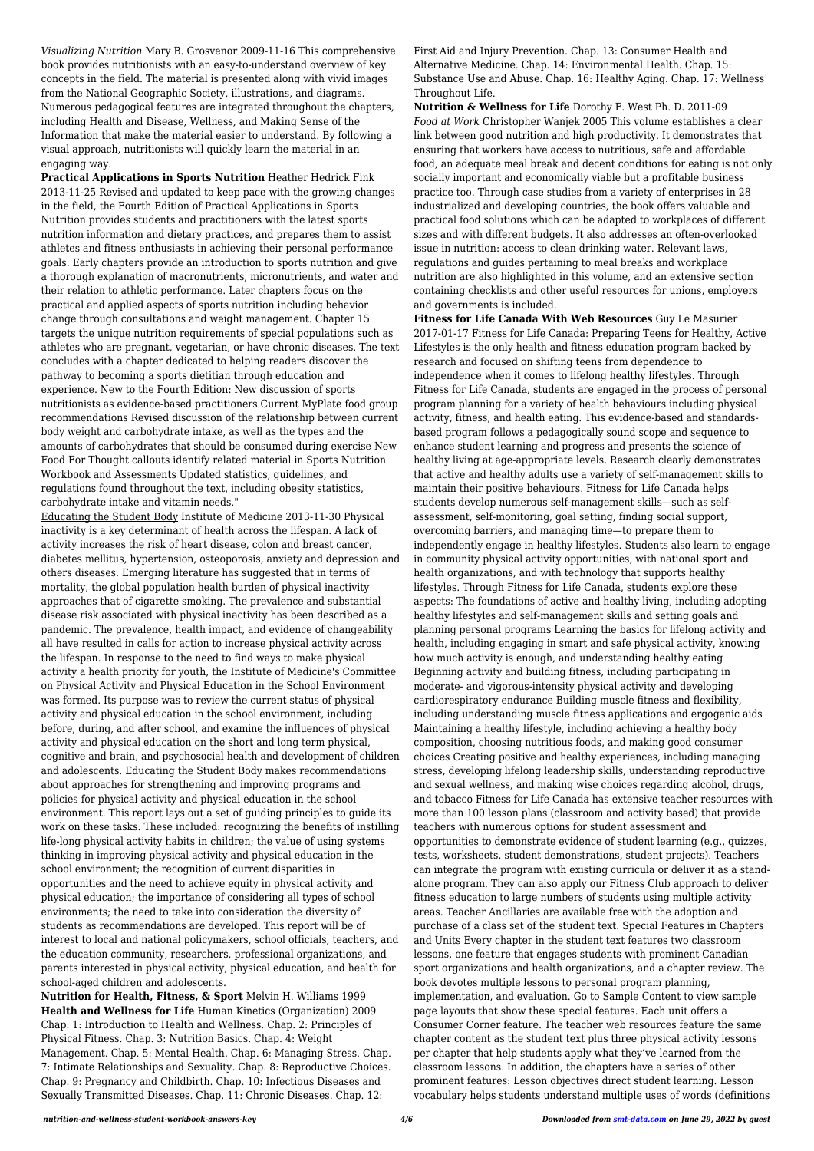*Visualizing Nutrition* Mary B. Grosvenor 2009-11-16 This comprehensive book provides nutritionists with an easy-to-understand overview of key concepts in the field. The material is presented along with vivid images from the National Geographic Society, illustrations, and diagrams. Numerous pedagogical features are integrated throughout the chapters, including Health and Disease, Wellness, and Making Sense of the Information that make the material easier to understand. By following a visual approach, nutritionists will quickly learn the material in an engaging way.

**Practical Applications in Sports Nutrition** Heather Hedrick Fink 2013-11-25 Revised and updated to keep pace with the growing changes in the field, the Fourth Edition of Practical Applications in Sports Nutrition provides students and practitioners with the latest sports nutrition information and dietary practices, and prepares them to assist athletes and fitness enthusiasts in achieving their personal performance goals. Early chapters provide an introduction to sports nutrition and give a thorough explanation of macronutrients, micronutrients, and water and their relation to athletic performance. Later chapters focus on the practical and applied aspects of sports nutrition including behavior change through consultations and weight management. Chapter 15 targets the unique nutrition requirements of special populations such as athletes who are pregnant, vegetarian, or have chronic diseases. The text concludes with a chapter dedicated to helping readers discover the pathway to becoming a sports dietitian through education and experience. New to the Fourth Edition: New discussion of sports nutritionists as evidence-based practitioners Current MyPlate food group recommendations Revised discussion of the relationship between current body weight and carbohydrate intake, as well as the types and the amounts of carbohydrates that should be consumed during exercise New Food For Thought callouts identify related material in Sports Nutrition Workbook and Assessments Updated statistics, guidelines, and regulations found throughout the text, including obesity statistics, carbohydrate intake and vitamin needs."

Educating the Student Body Institute of Medicine 2013-11-30 Physical inactivity is a key determinant of health across the lifespan. A lack of activity increases the risk of heart disease, colon and breast cancer, diabetes mellitus, hypertension, osteoporosis, anxiety and depression and others diseases. Emerging literature has suggested that in terms of mortality, the global population health burden of physical inactivity approaches that of cigarette smoking. The prevalence and substantial disease risk associated with physical inactivity has been described as a pandemic. The prevalence, health impact, and evidence of changeability all have resulted in calls for action to increase physical activity across the lifespan. In response to the need to find ways to make physical activity a health priority for youth, the Institute of Medicine's Committee on Physical Activity and Physical Education in the School Environment was formed. Its purpose was to review the current status of physical activity and physical education in the school environment, including before, during, and after school, and examine the influences of physical activity and physical education on the short and long term physical, cognitive and brain, and psychosocial health and development of children and adolescents. Educating the Student Body makes recommendations about approaches for strengthening and improving programs and policies for physical activity and physical education in the school environment. This report lays out a set of guiding principles to guide its work on these tasks. These included: recognizing the benefits of instilling life-long physical activity habits in children; the value of using systems thinking in improving physical activity and physical education in the school environment; the recognition of current disparities in opportunities and the need to achieve equity in physical activity and physical education; the importance of considering all types of school environments; the need to take into consideration the diversity of students as recommendations are developed. This report will be of interest to local and national policymakers, school officials, teachers, and the education community, researchers, professional organizations, and parents interested in physical activity, physical education, and health for school-aged children and adolescents. **Nutrition for Health, Fitness, & Sport** Melvin H. Williams 1999 **Health and Wellness for Life** Human Kinetics (Organization) 2009 Chap. 1: Introduction to Health and Wellness. Chap. 2: Principles of Physical Fitness. Chap. 3: Nutrition Basics. Chap. 4: Weight Management. Chap. 5: Mental Health. Chap. 6: Managing Stress. Chap. 7: Intimate Relationships and Sexuality. Chap. 8: Reproductive Choices. Chap. 9: Pregnancy and Childbirth. Chap. 10: Infectious Diseases and Sexually Transmitted Diseases. Chap. 11: Chronic Diseases. Chap. 12:

First Aid and Injury Prevention. Chap. 13: Consumer Health and Alternative Medicine. Chap. 14: Environmental Health. Chap. 15: Substance Use and Abuse. Chap. 16: Healthy Aging. Chap. 17: Wellness Throughout Life.

**Nutrition & Wellness for Life** Dorothy F. West Ph. D. 2011-09 *Food at Work* Christopher Wanjek 2005 This volume establishes a clear link between good nutrition and high productivity. It demonstrates that ensuring that workers have access to nutritious, safe and affordable food, an adequate meal break and decent conditions for eating is not only socially important and economically viable but a profitable business practice too. Through case studies from a variety of enterprises in 28 industrialized and developing countries, the book offers valuable and practical food solutions which can be adapted to workplaces of different sizes and with different budgets. It also addresses an often-overlooked issue in nutrition: access to clean drinking water. Relevant laws, regulations and guides pertaining to meal breaks and workplace nutrition are also highlighted in this volume, and an extensive section containing checklists and other useful resources for unions, employers and governments is included.

**Fitness for Life Canada With Web Resources** Guy Le Masurier 2017-01-17 Fitness for Life Canada: Preparing Teens for Healthy, Active Lifestyles is the only health and fitness education program backed by research and focused on shifting teens from dependence to independence when it comes to lifelong healthy lifestyles. Through Fitness for Life Canada, students are engaged in the process of personal program planning for a variety of health behaviours including physical activity, fitness, and health eating. This evidence-based and standardsbased program follows a pedagogically sound scope and sequence to enhance student learning and progress and presents the science of healthy living at age-appropriate levels. Research clearly demonstrates that active and healthy adults use a variety of self-management skills to maintain their positive behaviours. Fitness for Life Canada helps students develop numerous self-management skills—such as selfassessment, self-monitoring, goal setting, finding social support, overcoming barriers, and managing time—to prepare them to independently engage in healthy lifestyles. Students also learn to engage in community physical activity opportunities, with national sport and health organizations, and with technology that supports healthy lifestyles. Through Fitness for Life Canada, students explore these aspects: The foundations of active and healthy living, including adopting healthy lifestyles and self-management skills and setting goals and planning personal programs Learning the basics for lifelong activity and health, including engaging in smart and safe physical activity, knowing how much activity is enough, and understanding healthy eating Beginning activity and building fitness, including participating in moderate- and vigorous-intensity physical activity and developing cardiorespiratory endurance Building muscle fitness and flexibility, including understanding muscle fitness applications and ergogenic aids Maintaining a healthy lifestyle, including achieving a healthy body composition, choosing nutritious foods, and making good consumer choices Creating positive and healthy experiences, including managing stress, developing lifelong leadership skills, understanding reproductive and sexual wellness, and making wise choices regarding alcohol, drugs, and tobacco Fitness for Life Canada has extensive teacher resources with more than 100 lesson plans (classroom and activity based) that provide teachers with numerous options for student assessment and opportunities to demonstrate evidence of student learning (e.g., quizzes, tests, worksheets, student demonstrations, student projects). Teachers can integrate the program with existing curricula or deliver it as a standalone program. They can also apply our Fitness Club approach to deliver fitness education to large numbers of students using multiple activity areas. Teacher Ancillaries are available free with the adoption and purchase of a class set of the student text. Special Features in Chapters and Units Every chapter in the student text features two classroom lessons, one feature that engages students with prominent Canadian sport organizations and health organizations, and a chapter review. The book devotes multiple lessons to personal program planning, implementation, and evaluation. Go to Sample Content to view sample page layouts that show these special features. Each unit offers a Consumer Corner feature. The teacher web resources feature the same chapter content as the student text plus three physical activity lessons per chapter that help students apply what they've learned from the classroom lessons. In addition, the chapters have a series of other prominent features: Lesson objectives direct student learning. Lesson vocabulary helps students understand multiple uses of words (definitions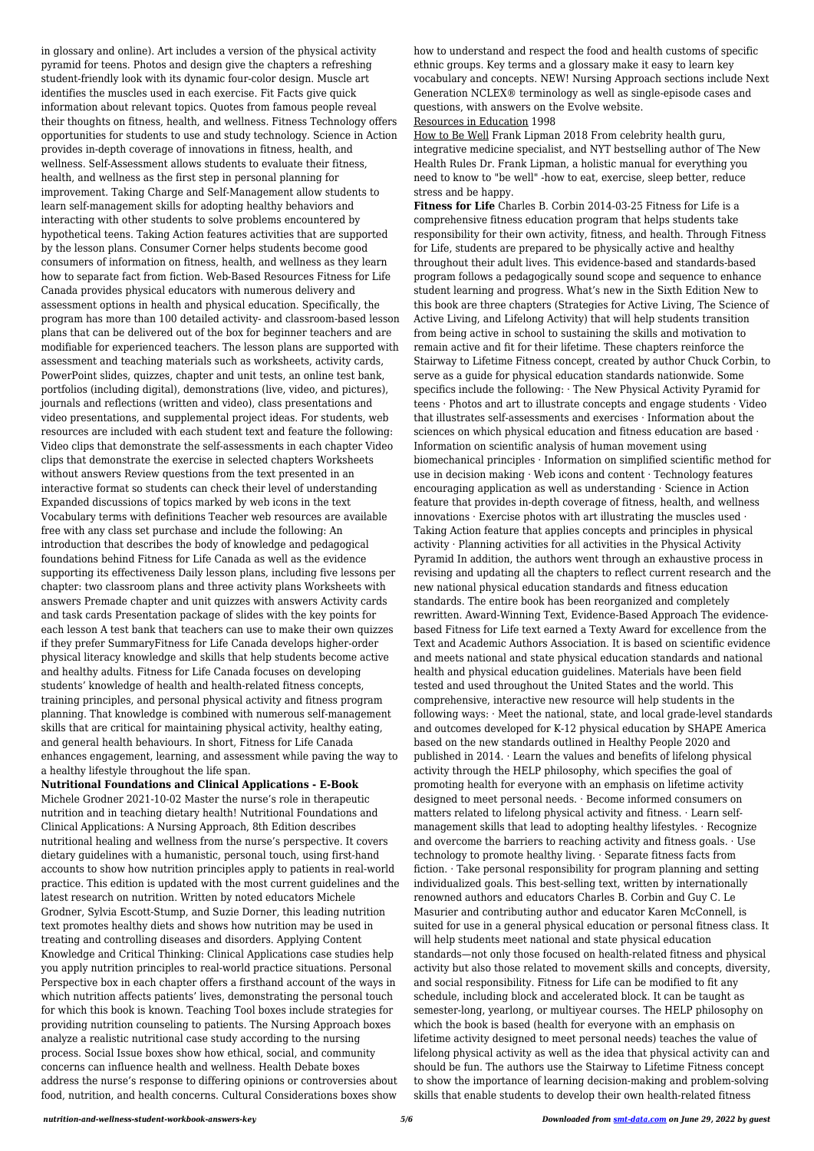in glossary and online). Art includes a version of the physical activity pyramid for teens. Photos and design give the chapters a refreshing student-friendly look with its dynamic four-color design. Muscle art identifies the muscles used in each exercise. Fit Facts give quick information about relevant topics. Quotes from famous people reveal their thoughts on fitness, health, and wellness. Fitness Technology offers opportunities for students to use and study technology. Science in Action provides in-depth coverage of innovations in fitness, health, and wellness. Self-Assessment allows students to evaluate their fitness, health, and wellness as the first step in personal planning for improvement. Taking Charge and Self-Management allow students to learn self-management skills for adopting healthy behaviors and interacting with other students to solve problems encountered by hypothetical teens. Taking Action features activities that are supported by the lesson plans. Consumer Corner helps students become good consumers of information on fitness, health, and wellness as they learn how to separate fact from fiction. Web-Based Resources Fitness for Life Canada provides physical educators with numerous delivery and assessment options in health and physical education. Specifically, the program has more than 100 detailed activity- and classroom-based lesson plans that can be delivered out of the box for beginner teachers and are modifiable for experienced teachers. The lesson plans are supported with assessment and teaching materials such as worksheets, activity cards, PowerPoint slides, quizzes, chapter and unit tests, an online test bank, portfolios (including digital), demonstrations (live, video, and pictures), journals and reflections (written and video), class presentations and video presentations, and supplemental project ideas. For students, web resources are included with each student text and feature the following: Video clips that demonstrate the self-assessments in each chapter Video clips that demonstrate the exercise in selected chapters Worksheets without answers Review questions from the text presented in an interactive format so students can check their level of understanding Expanded discussions of topics marked by web icons in the text Vocabulary terms with definitions Teacher web resources are available free with any class set purchase and include the following: An introduction that describes the body of knowledge and pedagogical foundations behind Fitness for Life Canada as well as the evidence supporting its effectiveness Daily lesson plans, including five lessons per chapter: two classroom plans and three activity plans Worksheets with answers Premade chapter and unit quizzes with answers Activity cards and task cards Presentation package of slides with the key points for each lesson A test bank that teachers can use to make their own quizzes if they prefer SummaryFitness for Life Canada develops higher-order physical literacy knowledge and skills that help students become active and healthy adults. Fitness for Life Canada focuses on developing students' knowledge of health and health-related fitness concepts, training principles, and personal physical activity and fitness program planning. That knowledge is combined with numerous self-management skills that are critical for maintaining physical activity, healthy eating, and general health behaviours. In short, Fitness for Life Canada enhances engagement, learning, and assessment while paving the way to a healthy lifestyle throughout the life span.

**Nutritional Foundations and Clinical Applications - E-Book** Michele Grodner 2021-10-02 Master the nurse's role in therapeutic nutrition and in teaching dietary health! Nutritional Foundations and Clinical Applications: A Nursing Approach, 8th Edition describes nutritional healing and wellness from the nurse's perspective. It covers dietary guidelines with a humanistic, personal touch, using first-hand accounts to show how nutrition principles apply to patients in real-world practice. This edition is updated with the most current guidelines and the latest research on nutrition. Written by noted educators Michele Grodner, Sylvia Escott-Stump, and Suzie Dorner, this leading nutrition text promotes healthy diets and shows how nutrition may be used in treating and controlling diseases and disorders. Applying Content Knowledge and Critical Thinking: Clinical Applications case studies help you apply nutrition principles to real-world practice situations. Personal Perspective box in each chapter offers a firsthand account of the ways in which nutrition affects patients' lives, demonstrating the personal touch for which this book is known. Teaching Tool boxes include strategies for providing nutrition counseling to patients. The Nursing Approach boxes analyze a realistic nutritional case study according to the nursing process. Social Issue boxes show how ethical, social, and community concerns can influence health and wellness. Health Debate boxes address the nurse's response to differing opinions or controversies about food, nutrition, and health concerns. Cultural Considerations boxes show

how to understand and respect the food and health customs of specific ethnic groups. Key terms and a glossary make it easy to learn key vocabulary and concepts. NEW! Nursing Approach sections include Next Generation NCLEX® terminology as well as single-episode cases and questions, with answers on the Evolve website.

Resources in Education 1998

How to Be Well Frank Lipman 2018 From celebrity health guru, integrative medicine specialist, and NYT bestselling author of The New Health Rules Dr. Frank Lipman, a holistic manual for everything you need to know to "be well" -how to eat, exercise, sleep better, reduce stress and be happy.

**Fitness for Life** Charles B. Corbin 2014-03-25 Fitness for Life is a comprehensive fitness education program that helps students take responsibility for their own activity, fitness, and health. Through Fitness for Life, students are prepared to be physically active and healthy throughout their adult lives. This evidence-based and standards-based program follows a pedagogically sound scope and sequence to enhance student learning and progress. What's new in the Sixth Edition New to this book are three chapters (Strategies for Active Living, The Science of Active Living, and Lifelong Activity) that will help students transition from being active in school to sustaining the skills and motivation to remain active and fit for their lifetime. These chapters reinforce the Stairway to Lifetime Fitness concept, created by author Chuck Corbin, to serve as a guide for physical education standards nationwide. Some specifics include the following: · The New Physical Activity Pyramid for teens · Photos and art to illustrate concepts and engage students · Video that illustrates self-assessments and exercises · Information about the sciences on which physical education and fitness education are based · Information on scientific analysis of human movement using biomechanical principles · Information on simplified scientific method for use in decision making · Web icons and content · Technology features encouraging application as well as understanding · Science in Action feature that provides in-depth coverage of fitness, health, and wellness innovations · Exercise photos with art illustrating the muscles used · Taking Action feature that applies concepts and principles in physical  $\alpha$ activity · Planning activities for all activities in the Physical Activity Pyramid In addition, the authors went through an exhaustive process in revising and updating all the chapters to reflect current research and the new national physical education standards and fitness education standards. The entire book has been reorganized and completely rewritten. Award-Winning Text, Evidence-Based Approach The evidencebased Fitness for Life text earned a Texty Award for excellence from the Text and Academic Authors Association. It is based on scientific evidence and meets national and state physical education standards and national health and physical education guidelines. Materials have been field tested and used throughout the United States and the world. This comprehensive, interactive new resource will help students in the following ways: · Meet the national, state, and local grade-level standards and outcomes developed for K-12 physical education by SHAPE America based on the new standards outlined in Healthy People 2020 and published in 2014. · Learn the values and benefits of lifelong physical activity through the HELP philosophy, which specifies the goal of promoting health for everyone with an emphasis on lifetime activity designed to meet personal needs. · Become informed consumers on matters related to lifelong physical activity and fitness. · Learn selfmanagement skills that lead to adopting healthy lifestyles. · Recognize and overcome the barriers to reaching activity and fitness goals.  $\cdot$  Use technology to promote healthy living. · Separate fitness facts from fiction. · Take personal responsibility for program planning and setting individualized goals. This best-selling text, written by internationally renowned authors and educators Charles B. Corbin and Guy C. Le Masurier and contributing author and educator Karen McConnell, is suited for use in a general physical education or personal fitness class. It will help students meet national and state physical education standards—not only those focused on health-related fitness and physical activity but also those related to movement skills and concepts, diversity, and social responsibility. Fitness for Life can be modified to fit any schedule, including block and accelerated block. It can be taught as semester-long, yearlong, or multiyear courses. The HELP philosophy on which the book is based (health for everyone with an emphasis on lifetime activity designed to meet personal needs) teaches the value of lifelong physical activity as well as the idea that physical activity can and should be fun. The authors use the Stairway to Lifetime Fitness concept to show the importance of learning decision-making and problem-solving skills that enable students to develop their own health-related fitness